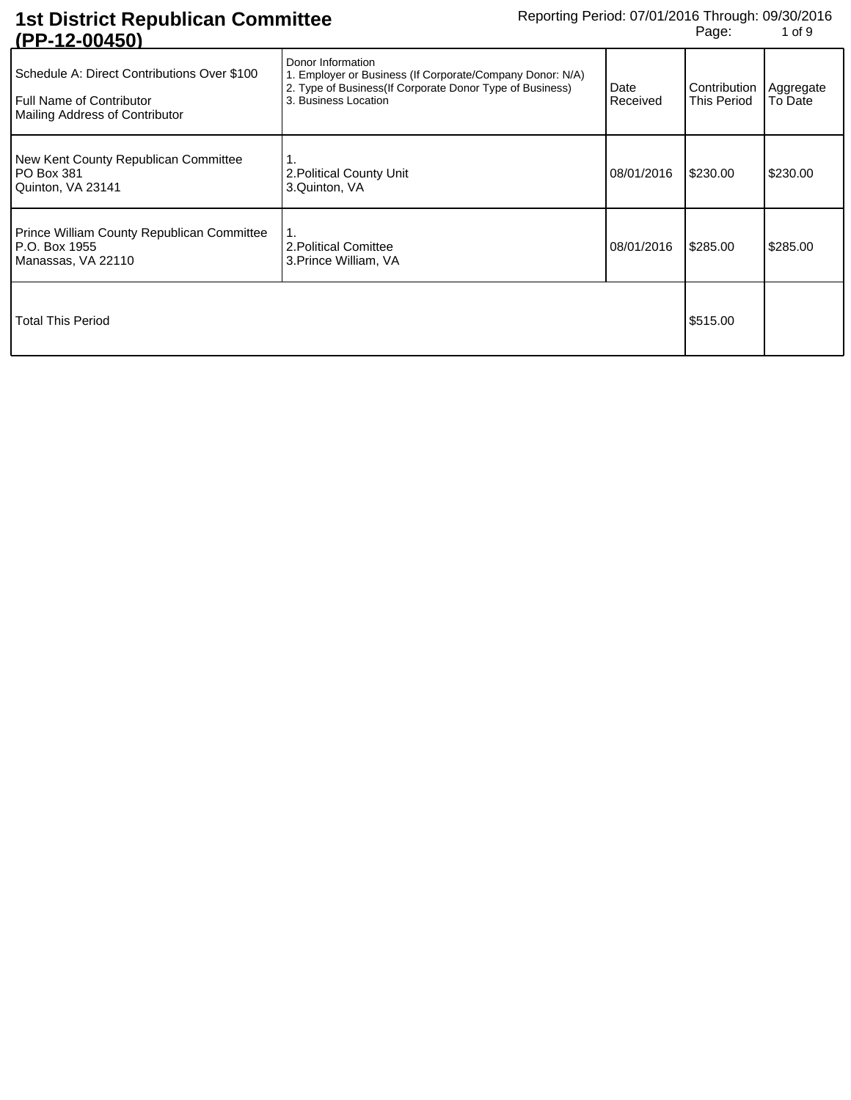| 11 1 <sup>-</sup> 14 <sup>-</sup> 00 <del>1</del> 007                                                     |                                                                                                                                                                     |                  |                             |                      |
|-----------------------------------------------------------------------------------------------------------|---------------------------------------------------------------------------------------------------------------------------------------------------------------------|------------------|-----------------------------|----------------------|
| Schedule A: Direct Contributions Over \$100<br>Full Name of Contributor<br>Mailing Address of Contributor | Donor Information<br>1. Employer or Business (If Corporate/Company Donor: N/A)<br>2. Type of Business (If Corporate Donor Type of Business)<br>3. Business Location | Date<br>Received | Contribution<br>This Period | Aggregate<br>To Date |
| New Kent County Republican Committee<br>PO Box 381<br>Quinton, VA 23141                                   | 2. Political County Unit<br>3.Quinton, VA                                                                                                                           | 08/01/2016       | \$230.00                    | \$230.00             |
| <b>Prince William County Republican Committee</b><br>P.O. Box 1955<br>Manassas, VA 22110                  | 1.<br>2. Political Comittee<br>3. Prince William, VA                                                                                                                | 08/01/2016       | \$285.00                    | \$285.00             |
| <b>Total This Period</b>                                                                                  |                                                                                                                                                                     |                  | \$515.00                    |                      |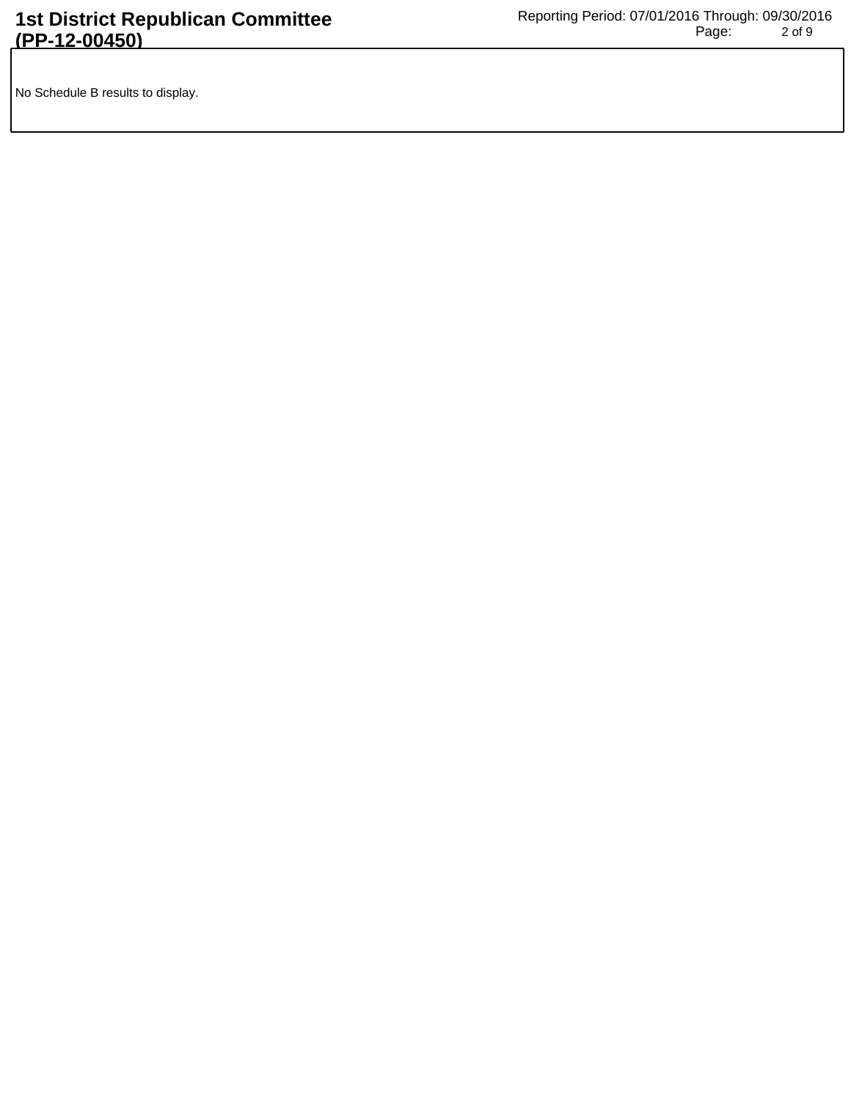No Schedule B results to display.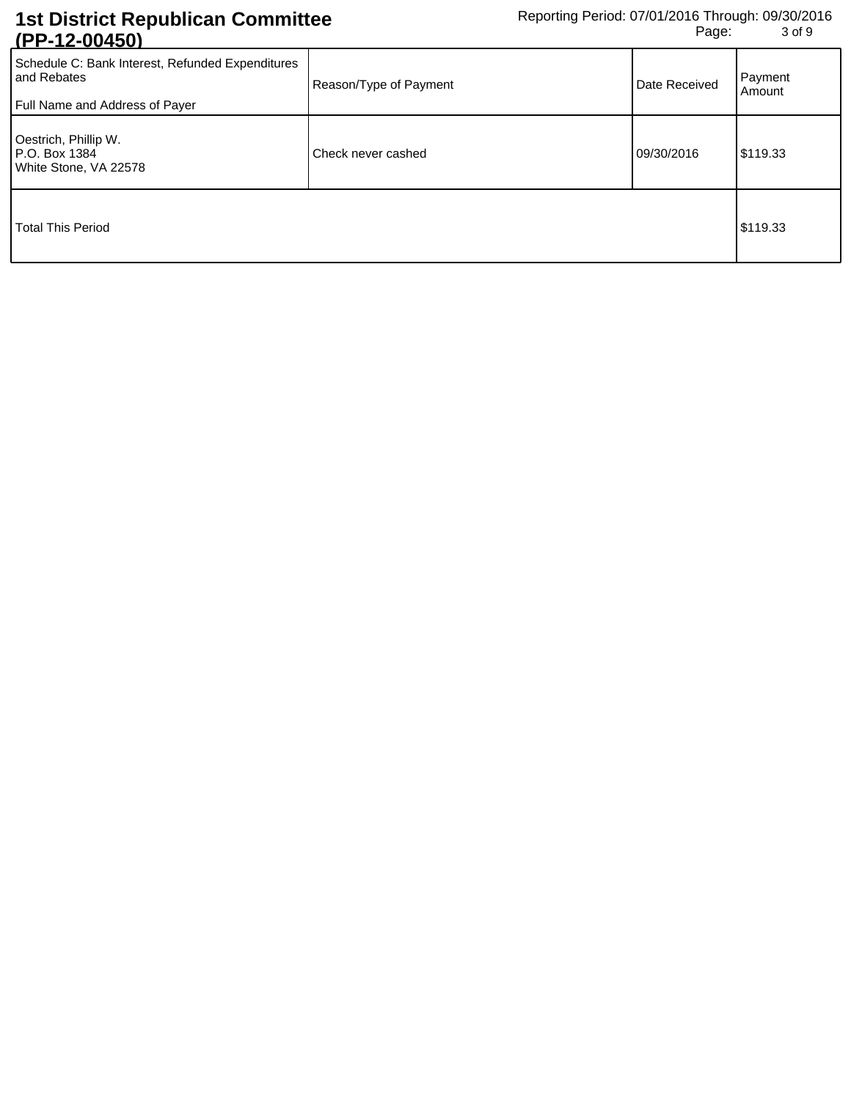| <u> 11 1 - 14 VVTJVI</u>                                                                          |                        |               |                   |
|---------------------------------------------------------------------------------------------------|------------------------|---------------|-------------------|
| Schedule C: Bank Interest, Refunded Expenditures<br>and Rebates<br>Full Name and Address of Payer | Reason/Type of Payment | Date Received | Payment<br>Amount |
| Oestrich, Phillip W.<br>P.O. Box 1384<br>White Stone, VA 22578                                    | Check never cashed     | 09/30/2016    | \$119.33          |
| Total This Period                                                                                 |                        |               | \$119.33          |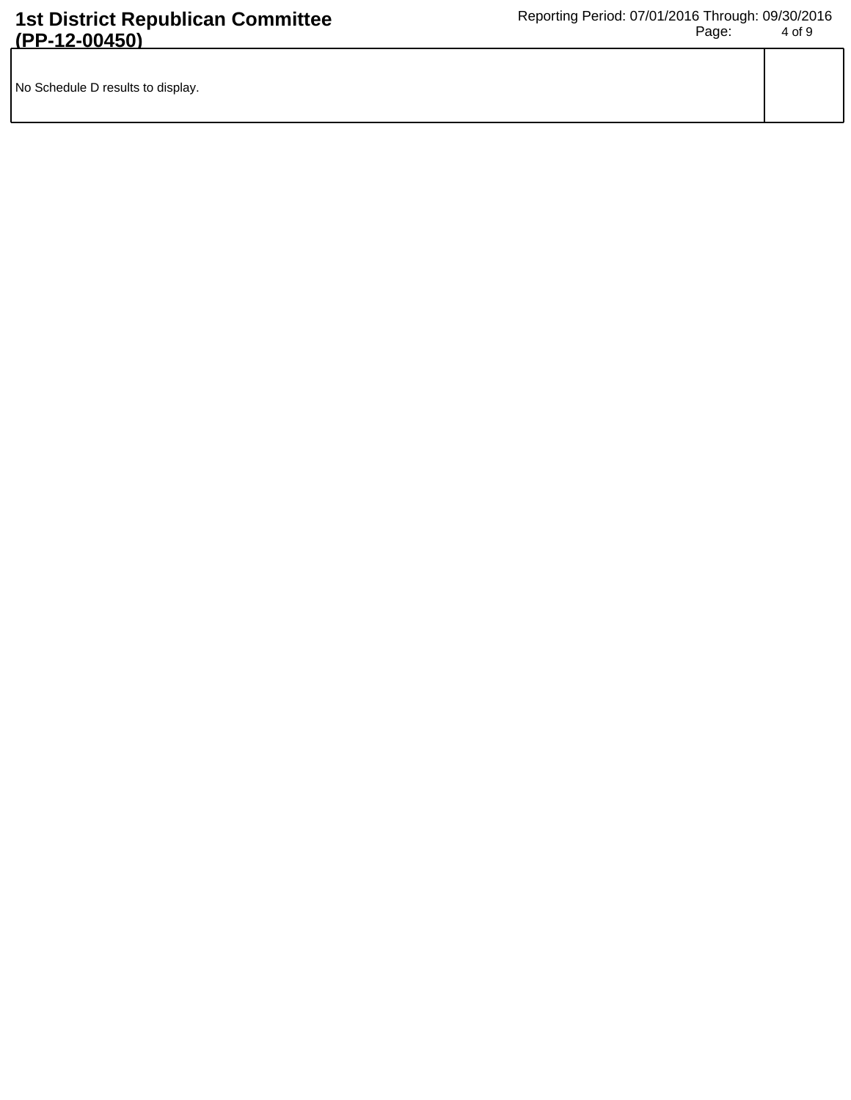| No Schedule D results to display. |  |
|-----------------------------------|--|
|                                   |  |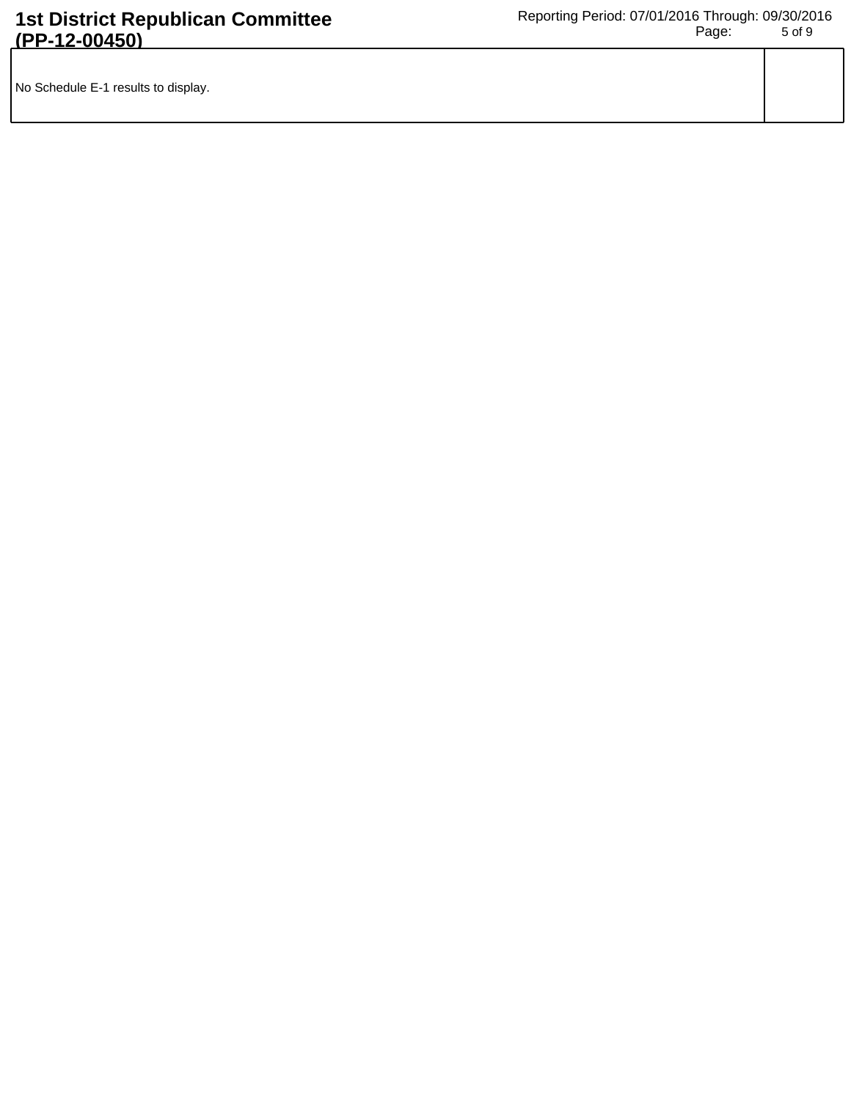| No Schedule E-1 results to display. |  |
|-------------------------------------|--|
|                                     |  |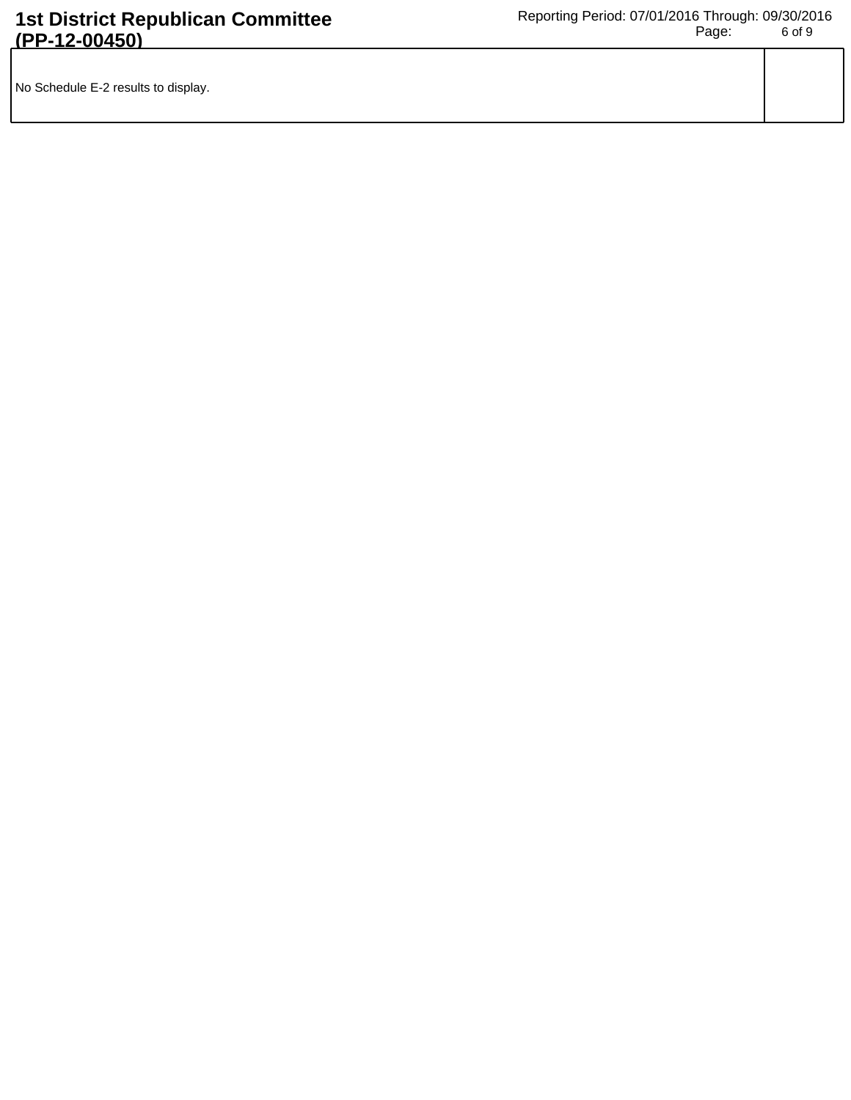| No Schedule E-2 results to display. |  |
|-------------------------------------|--|
|                                     |  |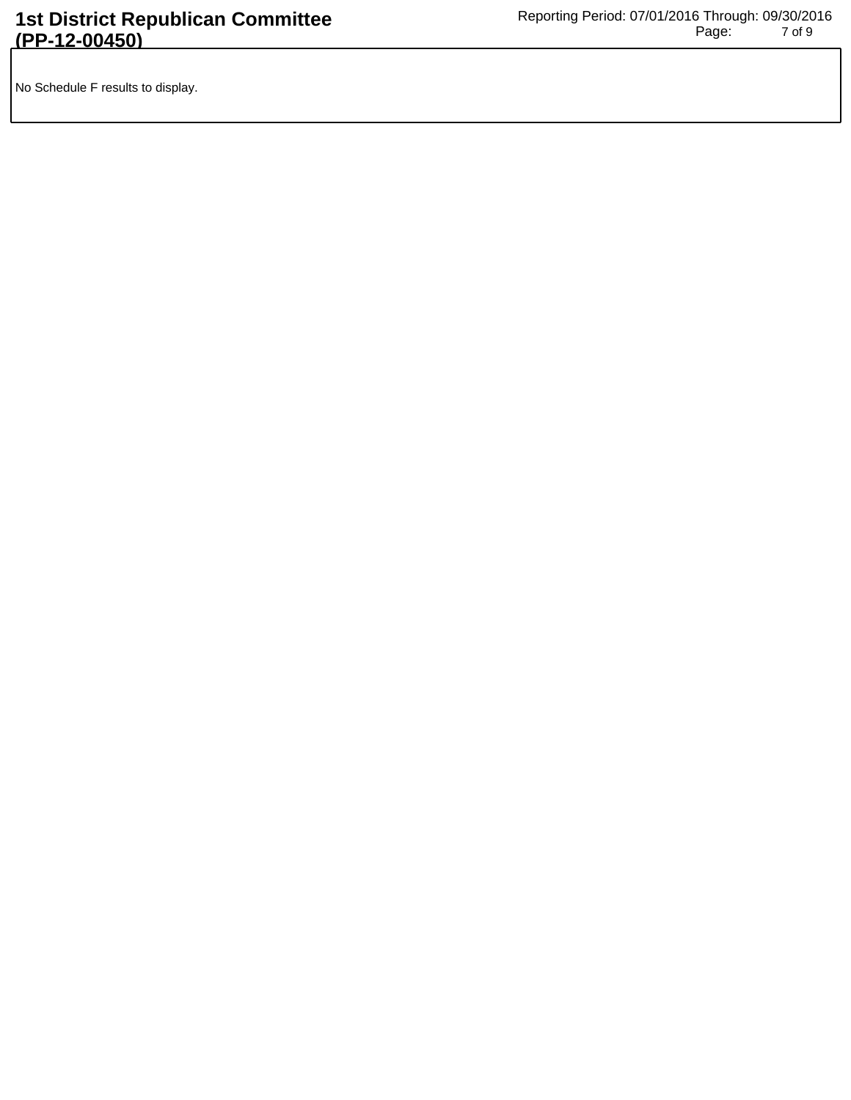No Schedule F results to display.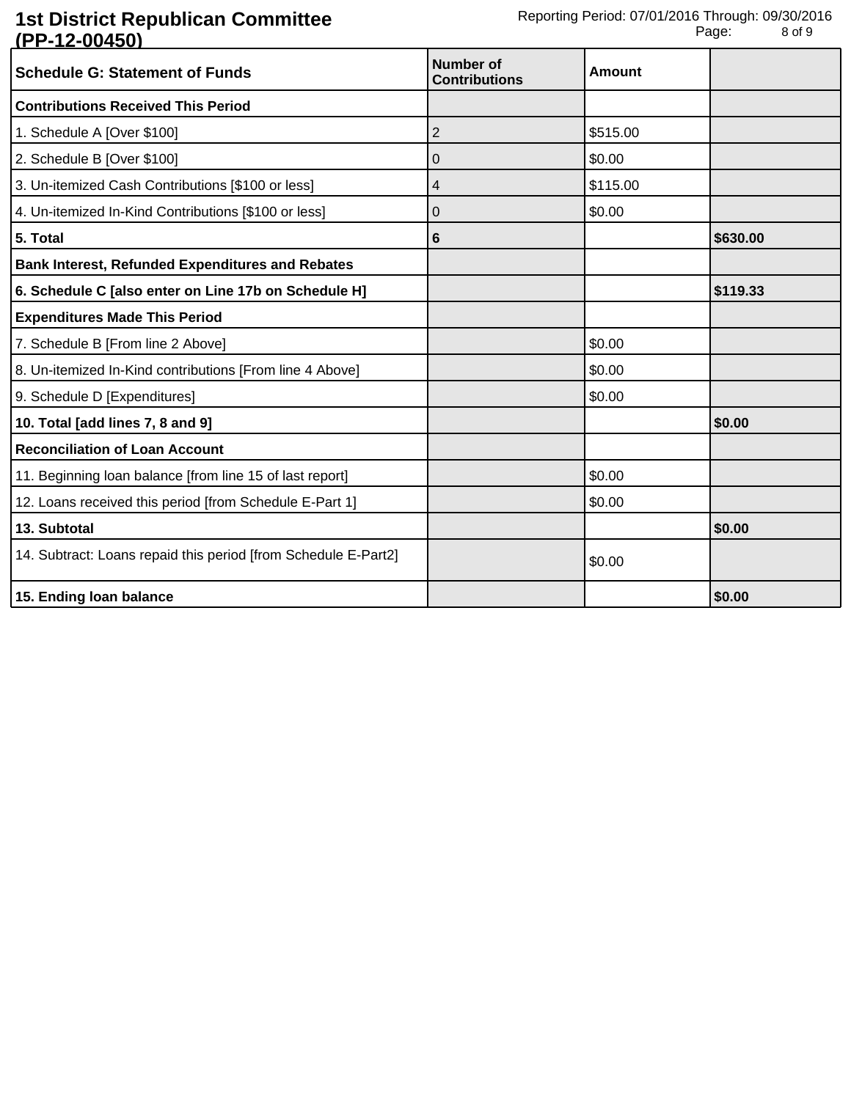| <u>ULLE VUTVU</u><br><b>Schedule G: Statement of Funds</b>     | <b>Number of</b><br><b>Contributions</b> | <b>Amount</b> |          |
|----------------------------------------------------------------|------------------------------------------|---------------|----------|
| <b>Contributions Received This Period</b>                      |                                          |               |          |
| 1. Schedule A [Over \$100]                                     | 2                                        | \$515.00      |          |
| 2. Schedule B [Over \$100]                                     | 0                                        | \$0.00        |          |
| 3. Un-itemized Cash Contributions [\$100 or less]              | 4                                        | \$115.00      |          |
| 4. Un-itemized In-Kind Contributions [\$100 or less]           | 0                                        | \$0.00        |          |
| 5. Total                                                       | 6                                        |               | \$630.00 |
| <b>Bank Interest, Refunded Expenditures and Rebates</b>        |                                          |               |          |
| 6. Schedule C [also enter on Line 17b on Schedule H]           |                                          |               | \$119.33 |
| <b>Expenditures Made This Period</b>                           |                                          |               |          |
| 7. Schedule B [From line 2 Above]                              |                                          | \$0.00        |          |
| 8. Un-itemized In-Kind contributions [From line 4 Above]       |                                          | \$0.00        |          |
| 9. Schedule D [Expenditures]                                   |                                          | \$0.00        |          |
| 10. Total [add lines 7, 8 and 9]                               |                                          |               | \$0.00   |
| <b>Reconciliation of Loan Account</b>                          |                                          |               |          |
| 11. Beginning loan balance [from line 15 of last report]       |                                          | \$0.00        |          |
| 12. Loans received this period [from Schedule E-Part 1]        |                                          | \$0.00        |          |
| 13. Subtotal                                                   |                                          |               | \$0.00   |
| 14. Subtract: Loans repaid this period [from Schedule E-Part2] |                                          | \$0.00        |          |
| 15. Ending loan balance                                        |                                          |               | \$0.00   |